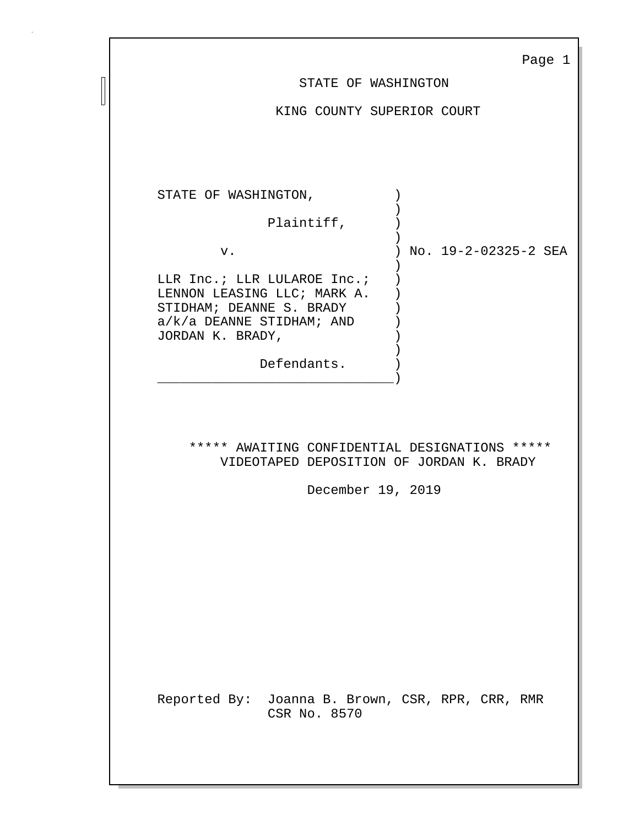|                                                                                                                                                          | Page 1                              |  |
|----------------------------------------------------------------------------------------------------------------------------------------------------------|-------------------------------------|--|
| STATE OF WASHINGTON                                                                                                                                      |                                     |  |
| KING COUNTY SUPERIOR COURT                                                                                                                               |                                     |  |
| STATE OF WASHINGTON,<br>Plaintiff,                                                                                                                       |                                     |  |
|                                                                                                                                                          |                                     |  |
| $\lambda$<br>${\tt v}$ .                                                                                                                                 | No. 19-2-02325-2 SEA                |  |
| LLR Inc.; LLR LULAROE Inc.;<br>LENNON LEASING LLC; MARK A.<br>STIDHAM; DEANNE S. BRADY<br>$a/k/a$ DEANNE STIDHAM; AND<br>JORDAN K. BRADY,<br>Defendants. |                                     |  |
|                                                                                                                                                          |                                     |  |
| ***** AWAITING CONFIDENTIAL DESIGNATIONS *****<br>VIDEOTAPED DEPOSITION OF JORDAN K. BRADY<br>December 19, 2019                                          |                                     |  |
|                                                                                                                                                          |                                     |  |
| Reported By:<br>CSR No. 8570                                                                                                                             | Joanna B. Brown, CSR, RPR, CRR, RMR |  |

 $\Box$  $\begin{array}{c} \hline \end{array}$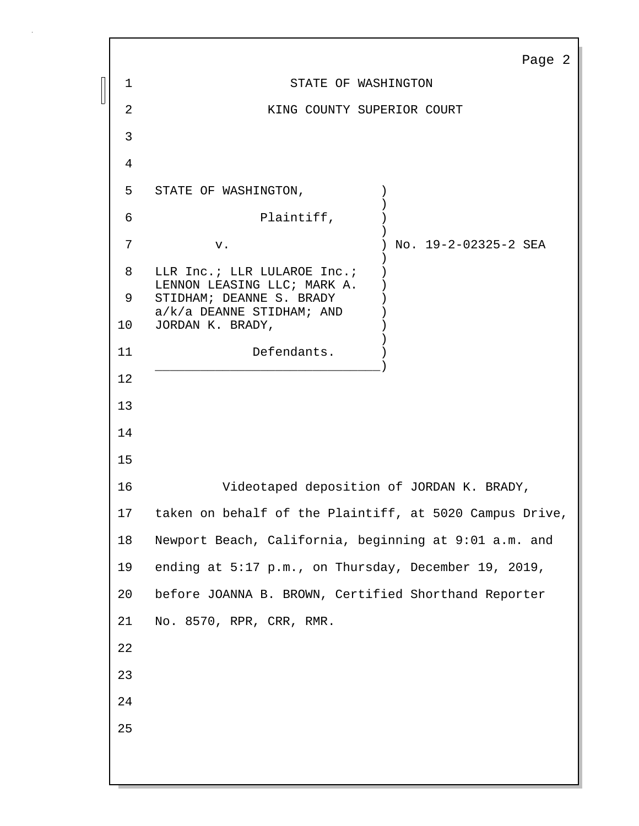|    | Page 2                                                  |  |  |
|----|---------------------------------------------------------|--|--|
| 1  | STATE OF WASHINGTON                                     |  |  |
| 2  | KING COUNTY SUPERIOR COURT                              |  |  |
| 3  |                                                         |  |  |
| 4  |                                                         |  |  |
| 5  | STATE OF WASHINGTON,                                    |  |  |
| 6  | Plaintiff,                                              |  |  |
| 7  | No. 19-2-02325-2 SEA<br>v.                              |  |  |
| 8  | LLR Inc.; LLR LULAROE Inc.;                             |  |  |
| 9  | LENNON LEASING LLC; MARK A.<br>STIDHAM; DEANNE S. BRADY |  |  |
| 10 | $a/k/a$ DEANNE STIDHAM; AND<br>JORDAN K. BRADY,         |  |  |
| 11 | Defendants.                                             |  |  |
| 12 |                                                         |  |  |
| 13 |                                                         |  |  |
| 14 |                                                         |  |  |
| 15 |                                                         |  |  |
| 16 | Videotaped deposition of JORDAN K. BRADY,               |  |  |
| 17 | taken on behalf of the Plaintiff, at 5020 Campus Drive, |  |  |
| 18 | Newport Beach, California, beginning at 9:01 a.m. and   |  |  |
| 19 | ending at 5:17 p.m., on Thursday, December 19, 2019,    |  |  |
| 20 | before JOANNA B. BROWN, Certified Shorthand Reporter    |  |  |
| 21 | No. 8570, RPR, CRR, RMR.                                |  |  |
| 22 |                                                         |  |  |
| 23 |                                                         |  |  |
| 24 |                                                         |  |  |
| 25 |                                                         |  |  |
|    |                                                         |  |  |
|    |                                                         |  |  |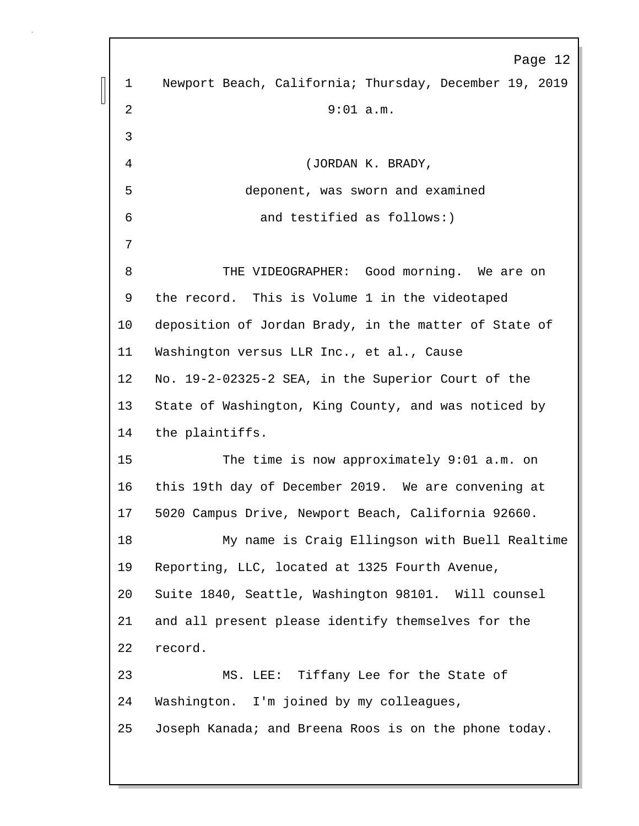Page 12 1 Newport Beach, California; Thursday, December 19, 2019 2 9:01 a.m. 3 4 (JORDAN K. BRADY, 5 deponent, was sworn and examined 6 and testified as follows:) 7 8 THE VIDEOGRAPHER: Good morning. We are on 9 the record. This is Volume 1 in the videotaped 10 deposition of Jordan Brady, in the matter of State of 11 Washington versus LLR Inc., et al., Cause 12 No. 19-2-02325-2 SEA, in the Superior Court of the 13 State of Washington, King County, and was noticed by 14 the plaintiffs. 15 The time is now approximately 9:01 a.m. on 16 this 19th day of December 2019. We are convening at 17 5020 Campus Drive, Newport Beach, California 92660. 18 My name is Craig Ellingson with Buell Realtime 19 Reporting, LLC, located at 1325 Fourth Avenue, 20 Suite 1840, Seattle, Washington 98101. Will counsel 21 and all present please identify themselves for the 22 record. 23 MS. LEE: Tiffany Lee for the State of 24 Washington. I'm joined by my colleagues, 25 Joseph Kanada; and Breena Roos is on the phone today.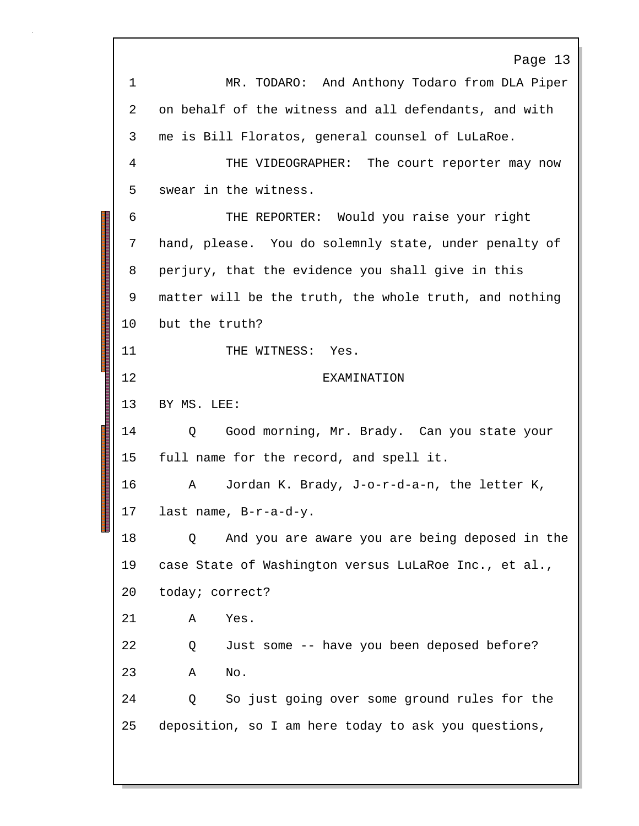Page 13 1 MR. TODARO: And Anthony Todaro from DLA Piper 2 on behalf of the witness and all defendants, and with 3 me is Bill Floratos, general counsel of LuLaRoe. 4 THE VIDEOGRAPHER: The court reporter may now 5 swear in the witness. 6 THE REPORTER: Would you raise your right 7 hand, please. You do solemnly state, under penalty of 8 perjury, that the evidence you shall give in this 9 matter will be the truth, the whole truth, and nothing 10 but the truth? 11 THE WITNESS: Yes. 12 EXAMINATION 13 BY MS. LEE: 14 Q Good morning, Mr. Brady. Can you state your 15 full name for the record, and spell it. 16 A Jordan K. Brady, J-o-r-d-a-n, the letter K, 17 last name, B-r-a-d-y. 18 Q And you are aware you are being deposed in the 19 case State of Washington versus LuLaRoe Inc., et al., 20 today; correct? 21 A Yes. 22 Q Just some -- have you been deposed before? 23 A No. 24 Q So just going over some ground rules for the 25 deposition, so I am here today to ask you questions,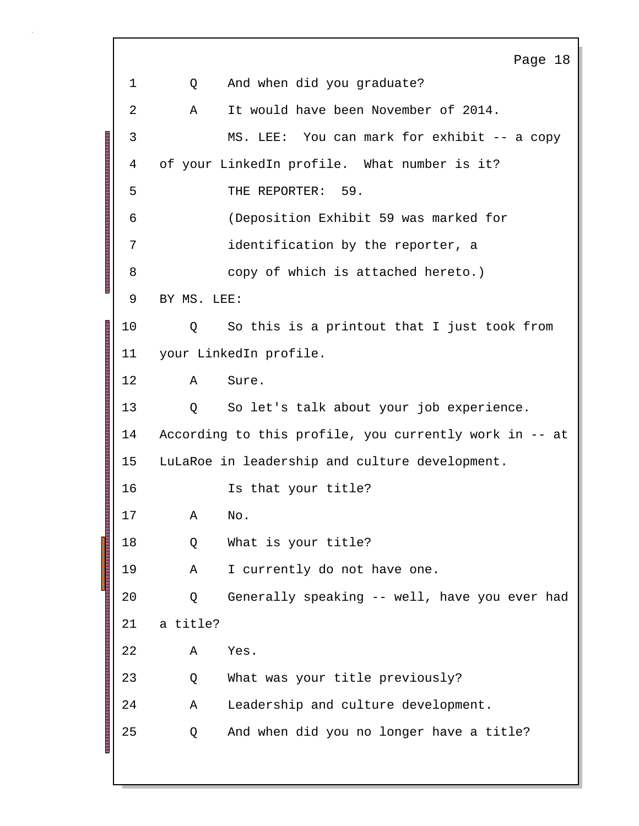Page 18 1 Q And when did you graduate? 2 A It would have been November of 2014. 3 MS. LEE: You can mark for exhibit -- a copy 4 of your LinkedIn profile. What number is it? 5 THE REPORTER: 59. 6 (Deposition Exhibit 59 was marked for 7 identification by the reporter, a 8 copy of which is attached hereto.) 9 BY MS. LEE: 10 Q So this is a printout that I just took from 11 your LinkedIn profile. 12 A Sure. 13 Q So let's talk about your job experience. 14 According to this profile, you currently work in -- at 15 LuLaRoe in leadership and culture development. 16 Is that your title? 17 A No. 18 Q What is your title? 19 A I currently do not have one. 20 Q Generally speaking -- well, have you ever had 21 a title? 22 A Yes. 23 Q What was your title previously? 24 A Leadership and culture development. 25 Q And when did you no longer have a title?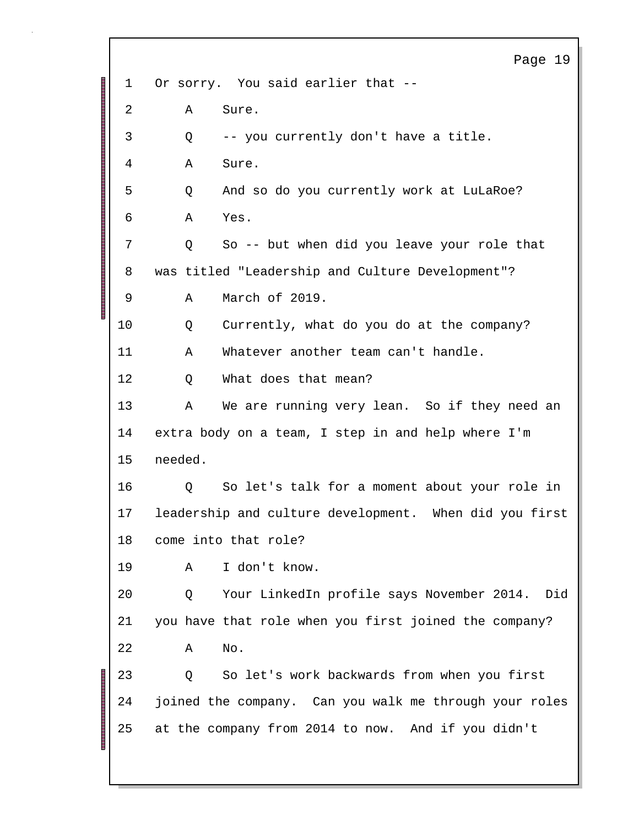Page 19 1 Or sorry. You said earlier that -- 2 A Sure. 3 Q -- you currently don't have a title. 4 A Sure. 5 Q And so do you currently work at LuLaRoe? 6 A Yes. 7 Q So -- but when did you leave your role that 8 was titled "Leadership and Culture Development"? 9 A March of 2019. 10 Q Currently, what do you do at the company? 11 A Whatever another team can't handle. 12 Q What does that mean? 13 A We are running very lean. So if they need an 14 extra body on a team, I step in and help where I'm 15 needed. 16 Q So let's talk for a moment about your role in 17 leadership and culture development. When did you first 18 come into that role? 19 A I don't know. 20 Q Your LinkedIn profile says November 2014. Did 21 you have that role when you first joined the company? 22 A No. 23 Q So let's work backwards from when you first 24 joined the company. Can you walk me through your roles 25 at the company from 2014 to now. And if you didn't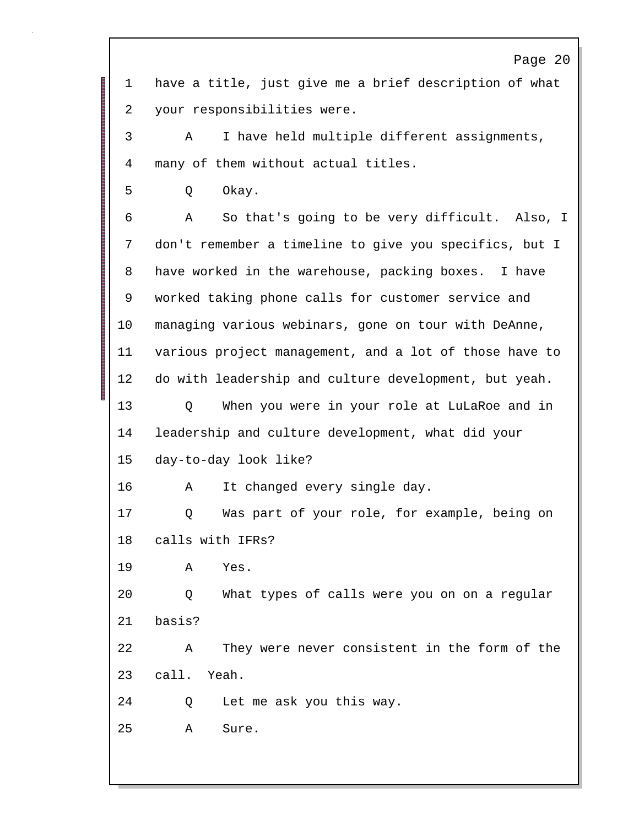Page 20 1 have a title, just give me a brief description of what 2 your responsibilities were. 3 A I have held multiple different assignments, 4 many of them without actual titles. 5 Q Okay. 6 A So that's going to be very difficult. Also, I 7 don't remember a timeline to give you specifics, but I 8 have worked in the warehouse, packing boxes. I have 9 worked taking phone calls for customer service and 10 managing various webinars, gone on tour with DeAnne, 11 various project management, and a lot of those have to 12 do with leadership and culture development, but yeah. 13 Q When you were in your role at LuLaRoe and in 14 leadership and culture development, what did your 15 day-to-day look like? 16 A It changed every single day. 17 Q Was part of your role, for example, being on 18 calls with IFRs? 19 A Yes. 20 Q What types of calls were you on on a regular 21 basis? 22 A They were never consistent in the form of the 23 call. Yeah. 24 Q Let me ask you this way. 25 A Sure.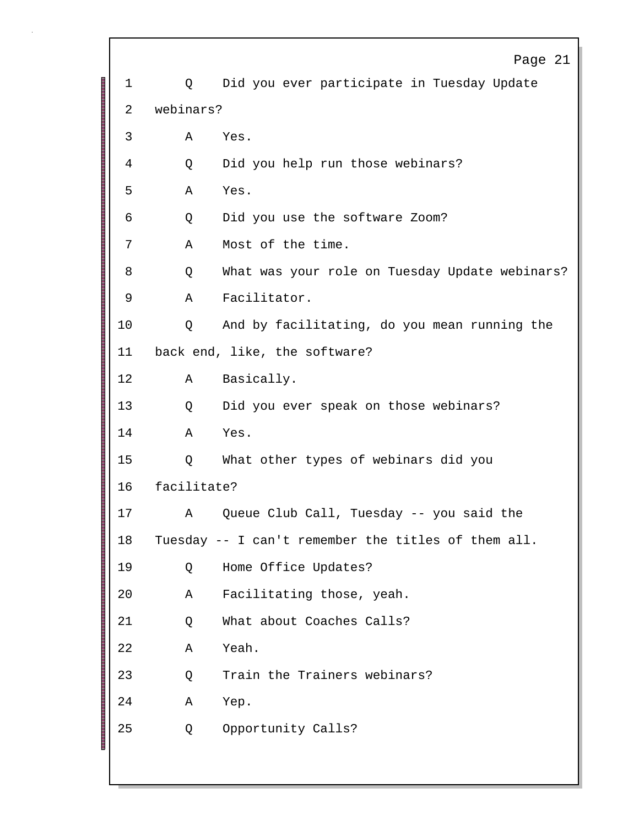|                                     |             | Page 21                                             |  |
|-------------------------------------|-------------|-----------------------------------------------------|--|
| 1                                   | Q           | Did you ever participate in Tuesday Update          |  |
| 2                                   | webinars?   |                                                     |  |
| 3                                   | Α           | Yes.                                                |  |
| 4                                   | Q           | Did you help run those webinars?                    |  |
| 5                                   | Α           | Yes.                                                |  |
| 6                                   | Q           | Did you use the software Zoom?                      |  |
| 7                                   | Α           | Most of the time.                                   |  |
| 8                                   | Q           | What was your role on Tuesday Update webinars?      |  |
| 9                                   | Α           | Facilitator.                                        |  |
| 10                                  | Q           | And by facilitating, do you mean running the        |  |
| 11<br>back end, like, the software? |             |                                                     |  |
| 12                                  | Α           | Basically.                                          |  |
| 13                                  | Q           | Did you ever speak on those webinars?               |  |
| 14                                  | Α           | Yes.                                                |  |
| 15                                  | Q           | What other types of webinars did you                |  |
| 16                                  | facilitate? |                                                     |  |
| 17                                  | A           | Queue Club Call, Tuesday -- you said the            |  |
| 18                                  |             | Tuesday -- I can't remember the titles of them all. |  |
| 19                                  | Q           | Home Office Updates?                                |  |
| 20                                  | Α           | Facilitating those, yeah.                           |  |
| 21                                  | Q           | What about Coaches Calls?                           |  |
| 22                                  | Α           | Yeah.                                               |  |
| 23                                  | Q           | Train the Trainers webinars?                        |  |
| 24                                  | Α           | Yep.                                                |  |
| 25                                  | Q           | Opportunity Calls?                                  |  |
|                                     |             |                                                     |  |

Г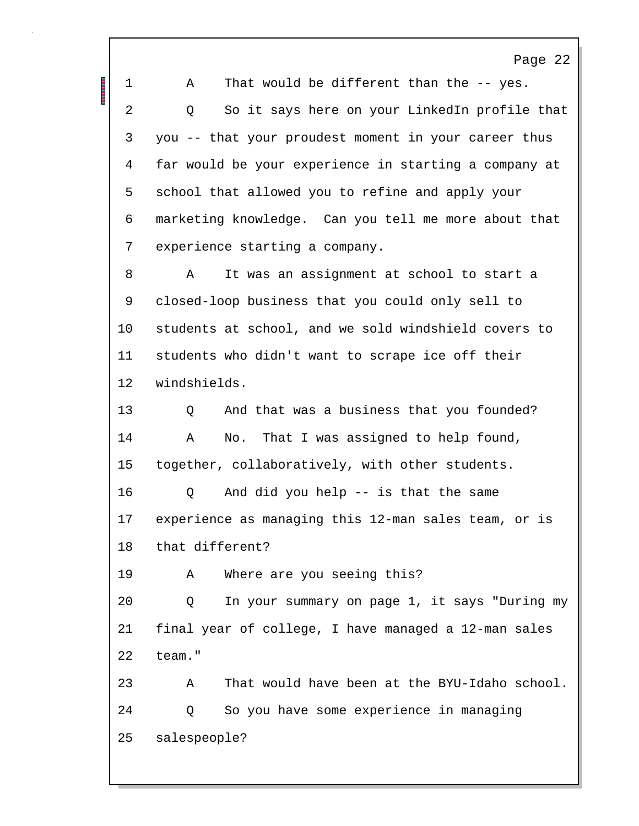Page 22 1 A That would be different than the -- yes. 2 Q So it says here on your LinkedIn profile that 3 you -- that your proudest moment in your career thus 4 far would be your experience in starting a company at 5 school that allowed you to refine and apply your 6 marketing knowledge. Can you tell me more about that 7 experience starting a company. 8 A It was an assignment at school to start a 9 closed-loop business that you could only sell to 10 students at school, and we sold windshield covers to 11 students who didn't want to scrape ice off their 12 windshields. 13 Q And that was a business that you founded? 14 A No. That I was assigned to help found, 15 together, collaboratively, with other students. 16 Q And did you help -- is that the same 17 experience as managing this 12-man sales team, or is 18 that different? 19 A Where are you seeing this? 20 Q In your summary on page 1, it says "During my 21 final year of college, I have managed a 12-man sales 22 team." 23 A That would have been at the BYU-Idaho school. 24 Q So you have some experience in managing 25 salespeople?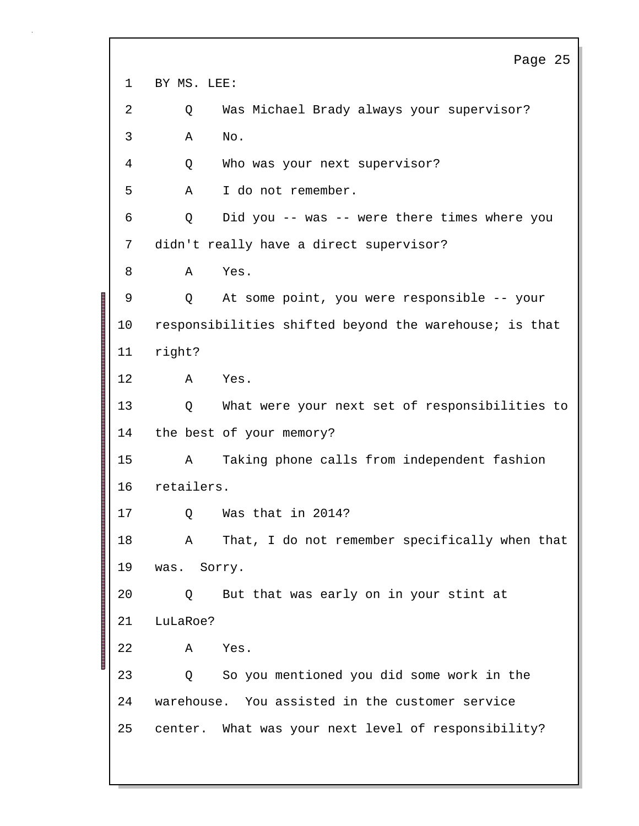Page 25 1 BY MS. LEE: 2 Q Was Michael Brady always your supervisor? 3 A No. 4 Q Who was your next supervisor? 5 A I do not remember. 6 Q Did you -- was -- were there times where you 7 didn't really have a direct supervisor? 8 A Yes. 9 Q At some point, you were responsible -- your 10 responsibilities shifted beyond the warehouse; is that 11 right? 12 A Yes. 13 Q What were your next set of responsibilities to 14 the best of your memory? 15 A Taking phone calls from independent fashion 16 retailers. 17 Q Was that in 2014? 18 A That, I do not remember specifically when that 19 was. Sorry. 20 Q But that was early on in your stint at 21 LuLaRoe? 22 A Yes. 23 Q So you mentioned you did some work in the 24 warehouse. You assisted in the customer service 25 center. What was your next level of responsibility?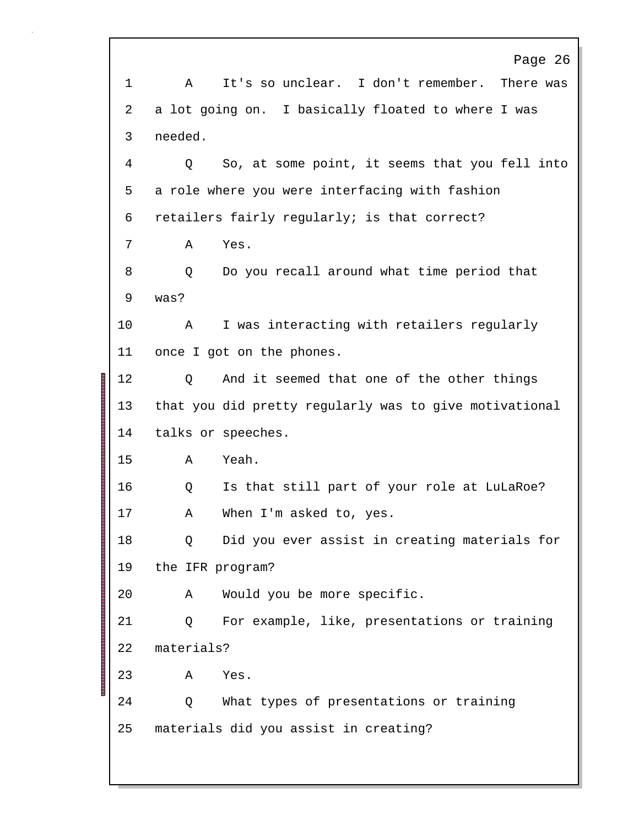Page 26 1 A It's so unclear. I don't remember. There was 2 a lot going on. I basically floated to where I was 3 needed. 4 Q So, at some point, it seems that you fell into 5 a role where you were interfacing with fashion 6 retailers fairly regularly; is that correct? 7 A Yes. 8 Q Do you recall around what time period that 9 was? 10 A I was interacting with retailers regularly 11 once I got on the phones. 12 Q And it seemed that one of the other things 13 that you did pretty regularly was to give motivational 14 talks or speeches. 15 A Yeah. 16 Q Is that still part of your role at LuLaRoe? 17 A When I'm asked to, yes. 18 Q Did you ever assist in creating materials for 19 the IFR program? 20 A Would you be more specific. 21 Q For example, like, presentations or training 22 materials? 23 A Yes. 24 Q What types of presentations or training 25 materials did you assist in creating?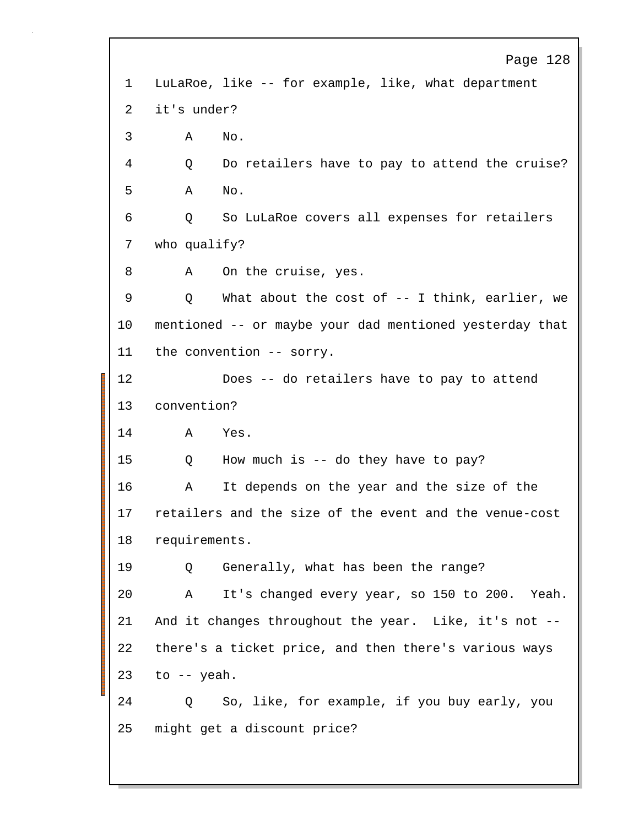Page 128 1 LuLaRoe, like -- for example, like, what department 2 it's under? 3 A No. 4 Q Do retailers have to pay to attend the cruise? 5 A No. 6 Q So LuLaRoe covers all expenses for retailers 7 who qualify? 8 A On the cruise, yes. 9 Q What about the cost of -- I think, earlier, we 10 mentioned -- or maybe your dad mentioned yesterday that 11 the convention -- sorry. 12 Does -- do retailers have to pay to attend 13 convention? 14 A Yes. 15 Q How much is -- do they have to pay? 16 A It depends on the year and the size of the 17 retailers and the size of the event and the venue-cost 18 requirements. 19 Q Generally, what has been the range? 20 A It's changed every year, so 150 to 200. Yeah. 21 And it changes throughout the year. Like, it's not -- 22 there's a ticket price, and then there's various ways  $23$  to  $-$  yeah. 24 Q So, like, for example, if you buy early, you 25 might get a discount price?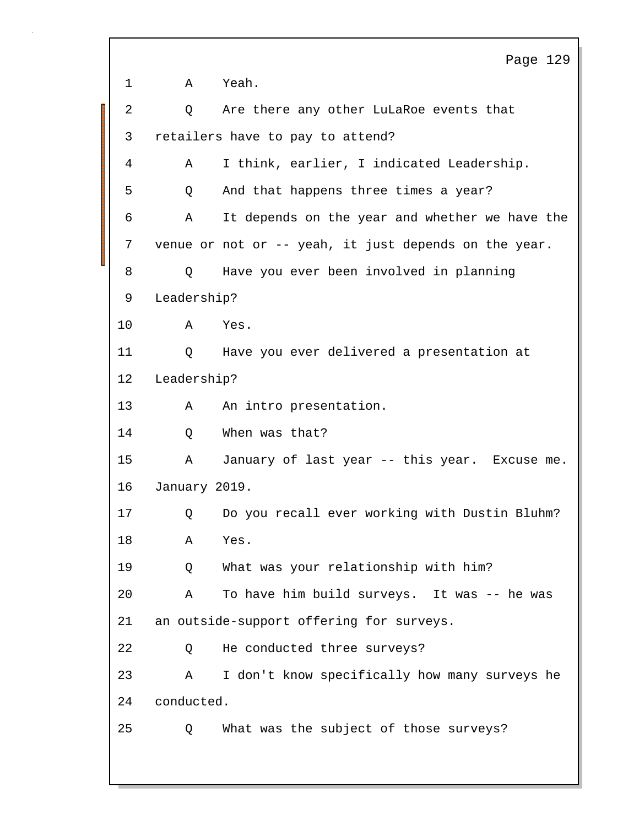Page 129 1 A Yeah. 2 Q Are there any other LuLaRoe events that 3 retailers have to pay to attend? 4 A I think, earlier, I indicated Leadership. 5 Q And that happens three times a year? 6 A It depends on the year and whether we have the 7 venue or not or -- yeah, it just depends on the year. 8 Q Have you ever been involved in planning 9 Leadership? 10 A Yes. 11 Q Have you ever delivered a presentation at 12 Leadership? 13 A An intro presentation. 14 O When was that? 15 A January of last year -- this year. Excuse me. 16 January 2019. 17 Q Do you recall ever working with Dustin Bluhm? 18 A Yes. 19 Q What was your relationship with him? 20 A To have him build surveys. It was -- he was 21 an outside-support offering for surveys. 22 Q He conducted three surveys? 23 A I don't know specifically how many surveys he 24 conducted. 25 Q What was the subject of those surveys?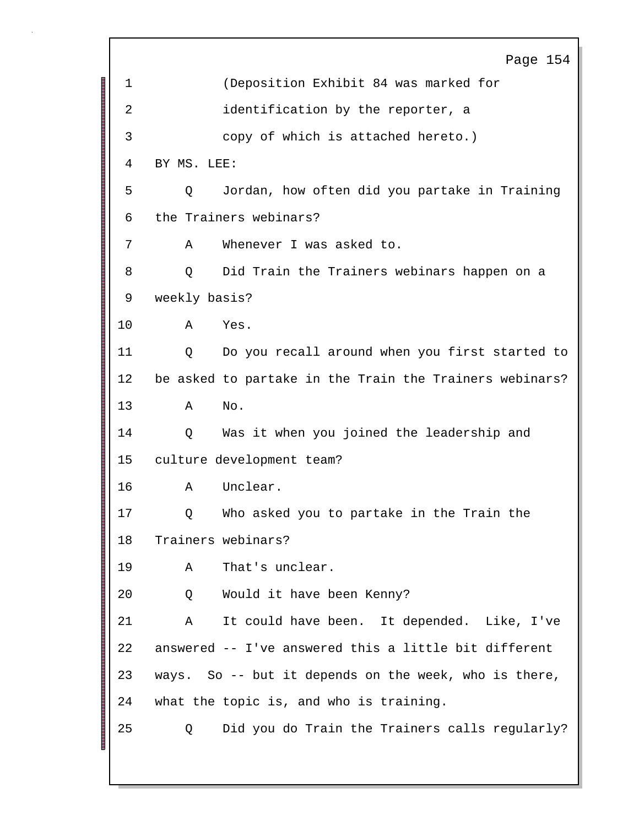Page 154 1 (Deposition Exhibit 84 was marked for 2 identification by the reporter, a 3 copy of which is attached hereto.) 4 BY MS. LEE: 5 Q Jordan, how often did you partake in Training 6 the Trainers webinars? 7 A Whenever I was asked to. 8 Q Did Train the Trainers webinars happen on a 9 weekly basis? 10 A Yes. 11 Q Do you recall around when you first started to 12 be asked to partake in the Train the Trainers webinars? 13 A No. 14 Q Was it when you joined the leadership and 15 culture development team? 16 A Unclear. 17 Q Who asked you to partake in the Train the 18 Trainers webinars? 19 A That's unclear. 20 Q Would it have been Kenny? 21 A It could have been. It depended. Like, I've 22 answered -- I've answered this a little bit different 23 ways. So -- but it depends on the week, who is there, 24 what the topic is, and who is training. 25 Q Did you do Train the Trainers calls regularly?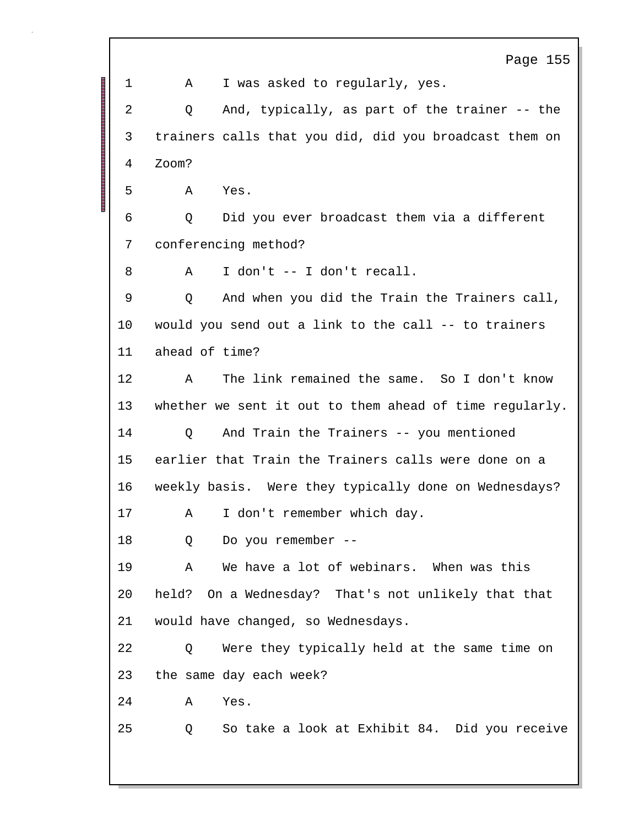|         | Page 155                                                |  |  |
|---------|---------------------------------------------------------|--|--|
| 1       | I was asked to regularly, yes.<br>Α                     |  |  |
| 2       | And, typically, as part of the trainer -- the<br>Q      |  |  |
| 3       | trainers calls that you did, did you broadcast them on  |  |  |
| 4       | Zoom?                                                   |  |  |
| 5       | Yes.<br>Α                                               |  |  |
| 6       | Did you ever broadcast them via a different<br>Q        |  |  |
| 7       | conferencing method?                                    |  |  |
| 8       | I don't -- I don't recall.<br>Α                         |  |  |
| 9       | And when you did the Train the Trainers call,<br>Q      |  |  |
| $10 \,$ | would you send out a link to the call -- to trainers    |  |  |
| 11      | ahead of time?                                          |  |  |
| 12      | The link remained the same. So I don't know<br>Α        |  |  |
| 13      | whether we sent it out to them ahead of time regularly. |  |  |
| 14      | And Train the Trainers -- you mentioned<br>Q            |  |  |
| 15      | earlier that Train the Trainers calls were done on a    |  |  |
| 16      | weekly basis. Were they typically done on Wednesdays?   |  |  |
| 17      | A I don't remember which day.                           |  |  |
| 18      | Do you remember --<br>Q                                 |  |  |
| 19      | We have a lot of webinars. When was this<br>Α           |  |  |
| 20      | held?<br>On a Wednesday? That's not unlikely that that  |  |  |
| 21      | would have changed, so Wednesdays.                      |  |  |
| 22      | Were they typically held at the same time on<br>Q       |  |  |
| 23      | the same day each week?                                 |  |  |
| 24      | Yes.<br>Α                                               |  |  |
| 25      | So take a look at Exhibit 84. Did you receive<br>Q      |  |  |
|         |                                                         |  |  |

Г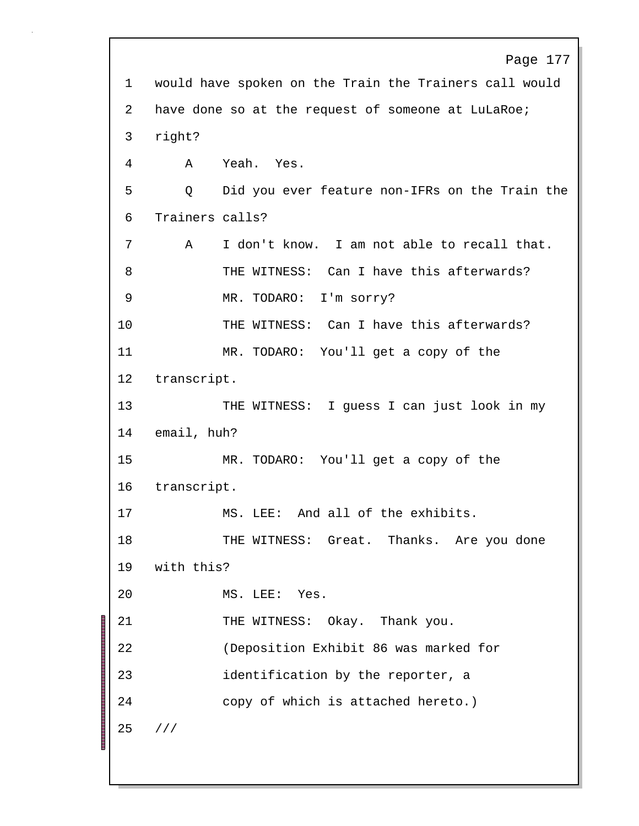```
Page 177
1 would have spoken on the Train the Trainers call would
2 have done so at the request of someone at LuLaRoe;
3 right?
4 A Yeah. Yes.
5 Q Did you ever feature non-IFRs on the Train the
6 Trainers calls?
7 A I don't know. I am not able to recall that.
8 THE WITNESS: Can I have this afterwards?
9 MR. TODARO: I'm sorry?
10 THE WITNESS: Can I have this afterwards?
11 MR. TODARO: You'll get a copy of the
12 transcript.
13 THE WITNESS: I guess I can just look in my
14 email, huh?
15 MR. TODARO: You'll get a copy of the
16 transcript.
17 MS. LEE: And all of the exhibits.
18 THE WITNESS: Great. Thanks. Are you done
19 with this?
20 MS. LEE: Yes.
21 THE WITNESS: Okay. Thank you.
22 (Deposition Exhibit 86 was marked for
23 identification by the reporter, a
24 copy of which is attached hereto.)
25 ///
```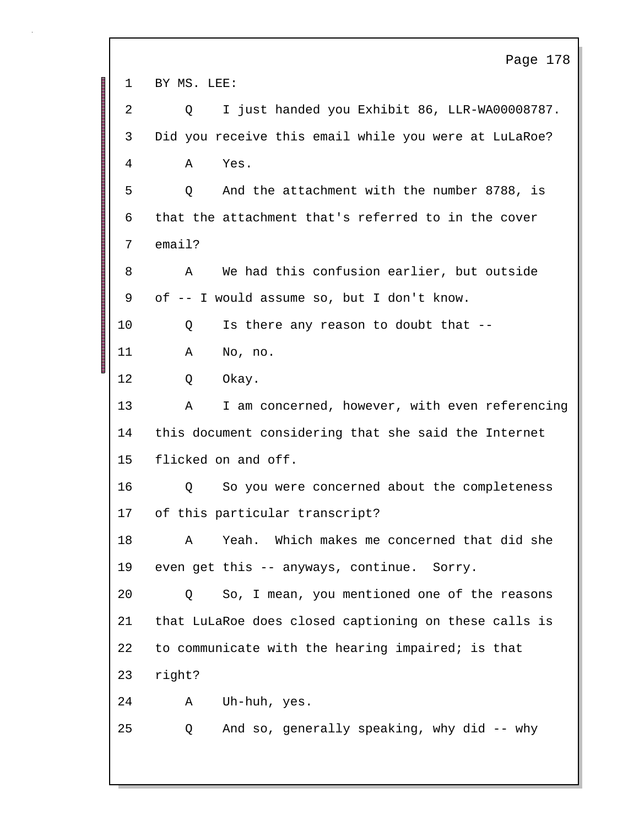Page 178 1 BY MS. LEE: 2 Q I just handed you Exhibit 86, LLR-WA00008787. 3 Did you receive this email while you were at LuLaRoe? 4 A Yes. 5 Q And the attachment with the number 8788, is 6 that the attachment that's referred to in the cover 7 email? 8 A We had this confusion earlier, but outside 9 of -- I would assume so, but I don't know. 10 Q Is there any reason to doubt that -- 11 A No, no. 12 Q Okay. 13 A I am concerned, however, with even referencing 14 this document considering that she said the Internet 15 flicked on and off. 16 Q So you were concerned about the completeness 17 of this particular transcript? 18 A Yeah. Which makes me concerned that did she 19 even get this -- anyways, continue. Sorry. 20 Q So, I mean, you mentioned one of the reasons 21 that LuLaRoe does closed captioning on these calls is 22 to communicate with the hearing impaired; is that 23 right? 24 A Uh-huh, yes. 25 Q And so, generally speaking, why did -- why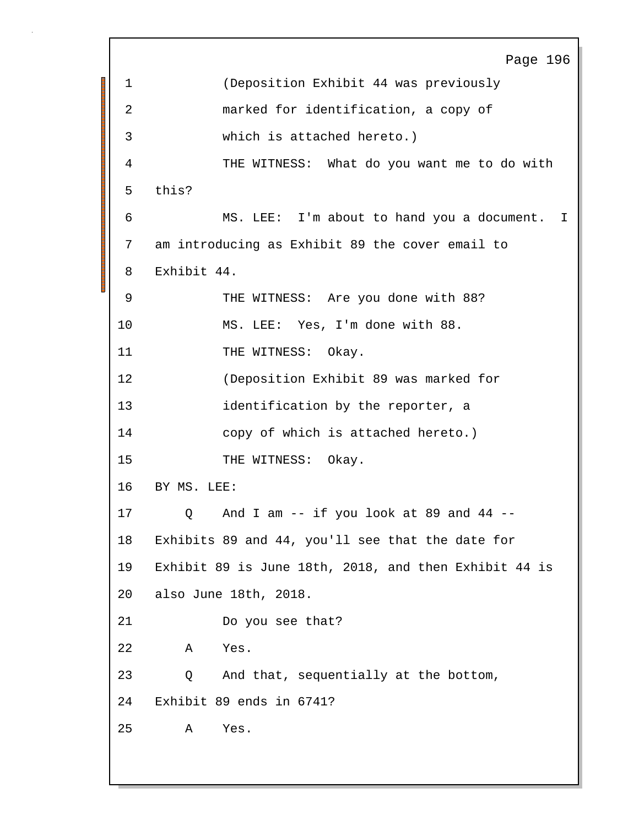Page 196 1 (Deposition Exhibit 44 was previously 2 marked for identification, a copy of 3 which is attached hereto.) 4 THE WITNESS: What do you want me to do with 5 this? 6 MS. LEE: I'm about to hand you a document. I 7 am introducing as Exhibit 89 the cover email to 8 Exhibit 44. 9 THE WITNESS: Are you done with 88? 10 MS. LEE: Yes, I'm done with 88. 11 THE WITNESS: Okay. 12 (Deposition Exhibit 89 was marked for 13 identification by the reporter, a 14 copy of which is attached hereto.) 15 THE WITNESS: Okay. 16 BY MS. LEE: 17 Q And I am -- if you look at 89 and 44 -- 18 Exhibits 89 and 44, you'll see that the date for 19 Exhibit 89 is June 18th, 2018, and then Exhibit 44 is 20 also June 18th, 2018. 21 Do you see that? 22 A Yes. 23 Q And that, sequentially at the bottom, 24 Exhibit 89 ends in 6741? 25 A Yes.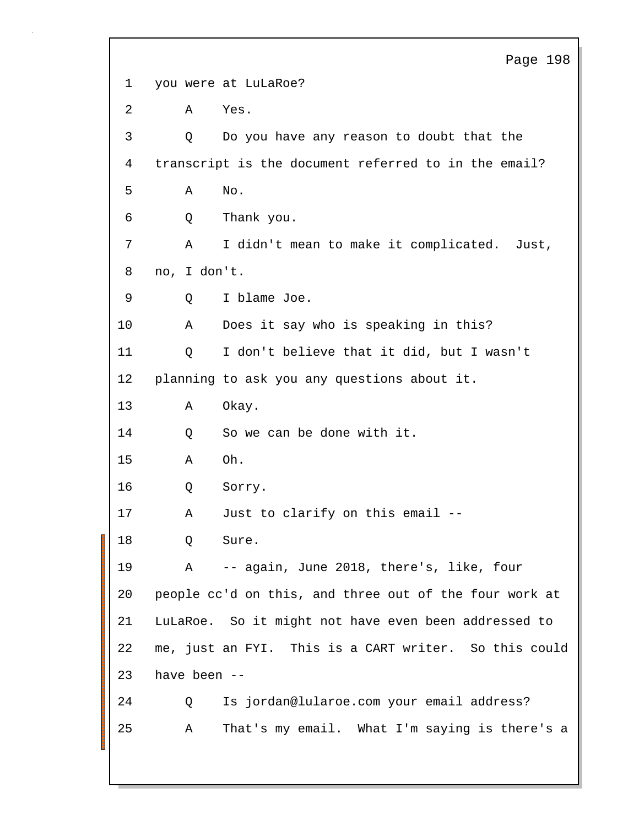Page 198 1 you were at LuLaRoe? 2 A Yes. 3 Q Do you have any reason to doubt that the 4 transcript is the document referred to in the email? 5 A No. 6 Q Thank you. 7 A I didn't mean to make it complicated. Just, 8 no, I don't. 9 Q I blame Joe. 10 A Does it say who is speaking in this? 11 Q I don't believe that it did, but I wasn't 12 planning to ask you any questions about it. 13 A Okay. 14 O So we can be done with it. 15 A Oh. 16 Q Sorry. 17 A Just to clarify on this email -- 18 O Sure. 19 A -- again, June 2018, there's, like, four 20 people cc'd on this, and three out of the four work at 21 LuLaRoe. So it might not have even been addressed to 22 me, just an FYI. This is a CART writer. So this could 23 have been -- 24 Q Is jordan@lularoe.com your email address? 25 A That's my email. What I'm saying is there's a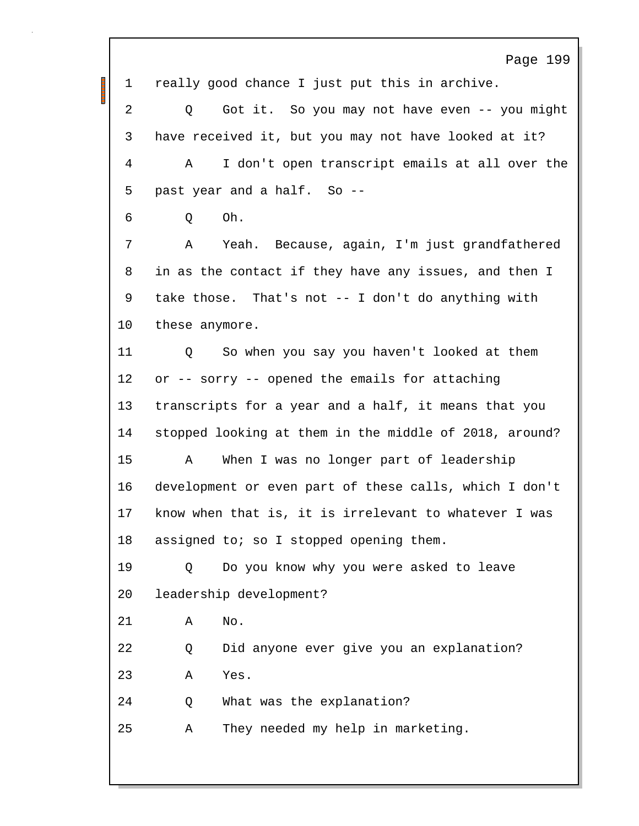Page 199 1 really good chance I just put this in archive. 2 Q Got it. So you may not have even -- you might 3 have received it, but you may not have looked at it? 4 A I don't open transcript emails at all over the 5 past year and a half. So -- 6 Q Oh. 7 A Yeah. Because, again, I'm just grandfathered 8 in as the contact if they have any issues, and then I 9 take those. That's not -- I don't do anything with 10 these anymore. 11 Q So when you say you haven't looked at them 12 or -- sorry -- opened the emails for attaching 13 transcripts for a year and a half, it means that you 14 stopped looking at them in the middle of 2018, around? 15 A When I was no longer part of leadership 16 development or even part of these calls, which I don't 17 know when that is, it is irrelevant to whatever I was 18 assigned to; so I stopped opening them. 19 Q Do you know why you were asked to leave 20 leadership development? 21 A No. 22 Q Did anyone ever give you an explanation? 23 A Yes. 24 Q What was the explanation? 25 A They needed my help in marketing.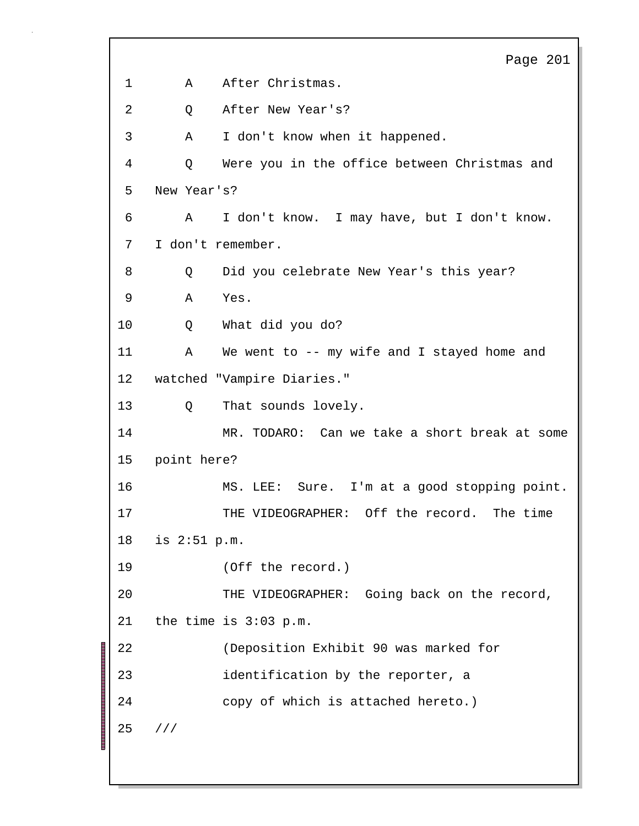```
Page 201
1 A After Christmas.
2 Q After New Year's?
3 A I don't know when it happened.
4 Q Were you in the office between Christmas and
5 New Year's?
6 A I don't know. I may have, but I don't know.
7 I don't remember.
8 Q Did you celebrate New Year's this year?
9 A Yes.
10 Q What did you do?
11 A We went to -- my wife and I stayed home and
12 watched "Vampire Diaries."
13 Q That sounds lovely.
14 MR. TODARO: Can we take a short break at some
15 point here?
16 MS. LEE: Sure. I'm at a good stopping point.
17 THE VIDEOGRAPHER: Off the record. The time
18 is 2:51 p.m.
19 (Off the record.)
20 THE VIDEOGRAPHER: Going back on the record,
21 the time is 3:03 p.m.
22 (Deposition Exhibit 90 was marked for
23 identification by the reporter, a
24 copy of which is attached hereto.)
25 ///
```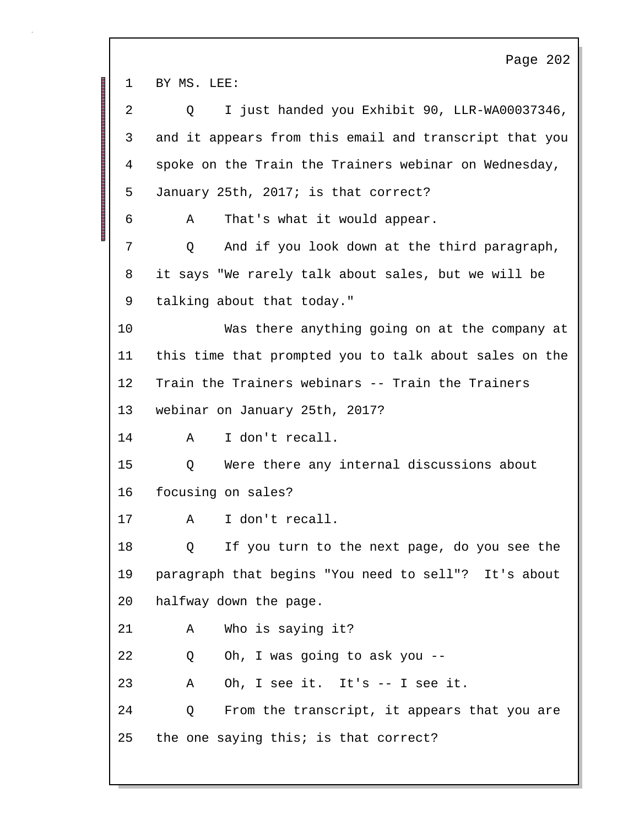Page 202 1 BY MS. LEE: 2 Q I just handed you Exhibit 90, LLR-WA00037346, 3 and it appears from this email and transcript that you 4 spoke on the Train the Trainers webinar on Wednesday, 5 January 25th, 2017; is that correct? 6 A That's what it would appear. 7 Q And if you look down at the third paragraph, 8 it says "We rarely talk about sales, but we will be 9 talking about that today." 10 Was there anything going on at the company at 11 this time that prompted you to talk about sales on the 12 Train the Trainers webinars -- Train the Trainers 13 webinar on January 25th, 2017? 14 A I don't recall. 15 Q Were there any internal discussions about 16 focusing on sales? 17 A I don't recall. 18 Q If you turn to the next page, do you see the 19 paragraph that begins "You need to sell"? It's about 20 halfway down the page. 21 A Who is saying it? 22 Q Oh, I was going to ask you -- 23 A Oh, I see it. It's -- I see it. 24 Q From the transcript, it appears that you are 25 the one saying this; is that correct?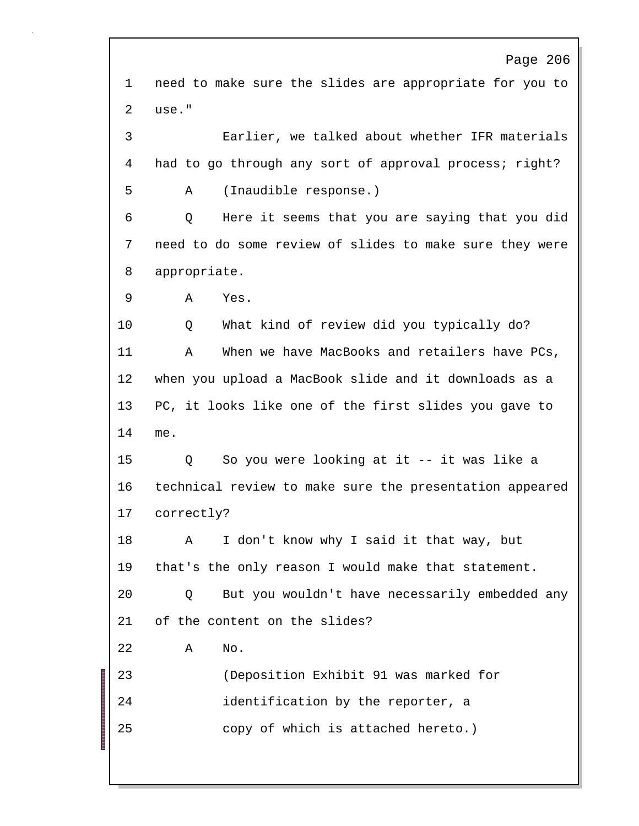Page 206 1 need to make sure the slides are appropriate for you to 2 use." 3 Earlier, we talked about whether IFR materials 4 had to go through any sort of approval process; right? 5 A (Inaudible response.) 6 Q Here it seems that you are saying that you did 7 need to do some review of slides to make sure they were 8 appropriate. 9 A Yes. 10 Q What kind of review did you typically do? 11 A When we have MacBooks and retailers have PCs, 12 when you upload a MacBook slide and it downloads as a 13 PC, it looks like one of the first slides you gave to 14 me. 15 Q So you were looking at it -- it was like a 16 technical review to make sure the presentation appeared 17 correctly? 18 A I don't know why I said it that way, but 19 that's the only reason I would make that statement. 20 Q But you wouldn't have necessarily embedded any 21 of the content on the slides? 22 A No. 23 (Deposition Exhibit 91 was marked for 24 identification by the reporter, a 25 copy of which is attached hereto.)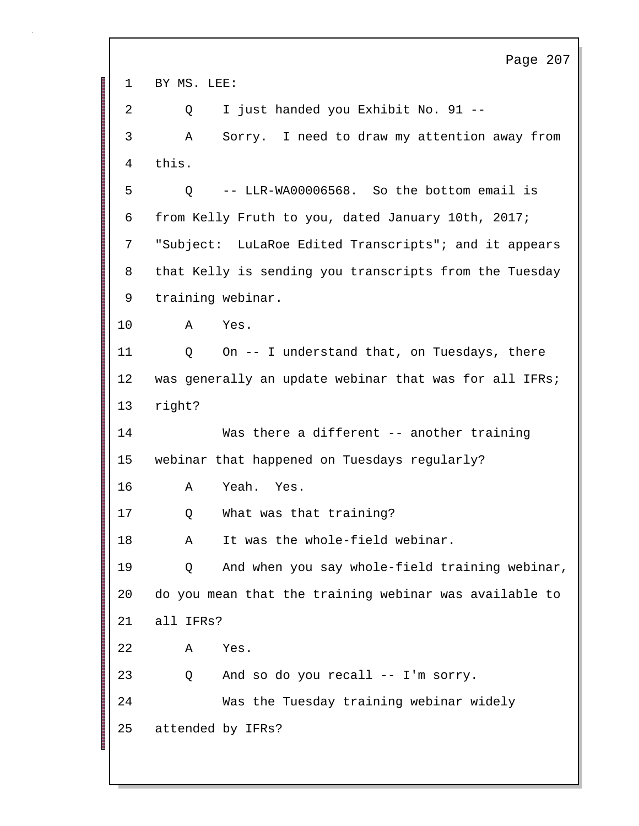Page 207 1 BY MS. LEE: 2 Q I just handed you Exhibit No. 91 -- 3 A Sorry. I need to draw my attention away from 4 this. 5 Q -- LLR-WA00006568. So the bottom email is 6 from Kelly Fruth to you, dated January 10th, 2017; 7 "Subject: LuLaRoe Edited Transcripts"; and it appears 8 that Kelly is sending you transcripts from the Tuesday 9 training webinar. 10 A Yes. 11 Q On -- I understand that, on Tuesdays, there 12 was generally an update webinar that was for all IFRs; 13 right? 14 Was there a different -- another training 15 webinar that happened on Tuesdays regularly? 16 A Yeah. Yes. 17 Q What was that training? 18 A It was the whole-field webinar. 19 Q And when you say whole-field training webinar, 20 do you mean that the training webinar was available to 21 all IFRs? 22 A Yes. 23 Q And so do you recall -- I'm sorry. 24 Was the Tuesday training webinar widely 25 attended by IFRs?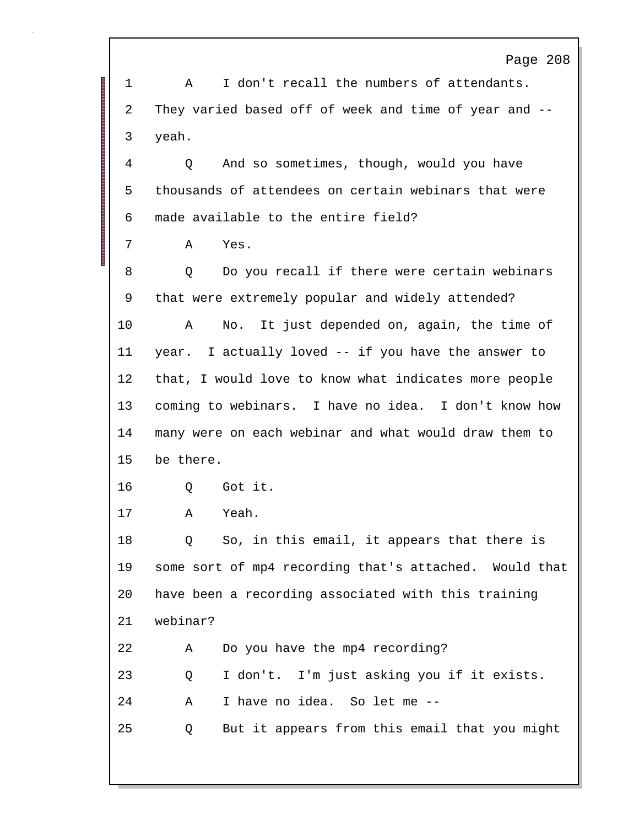Page 208 1 A I don't recall the numbers of attendants. 2 They varied based off of week and time of year and -- 3 yeah. 4 Q And so sometimes, though, would you have 5 thousands of attendees on certain webinars that were 6 made available to the entire field? 7 A Yes. 8 O Do you recall if there were certain webinars 9 that were extremely popular and widely attended? 10 A No. It just depended on, again, the time of 11 year. I actually loved -- if you have the answer to 12 that, I would love to know what indicates more people 13 coming to webinars. I have no idea. I don't know how 14 many were on each webinar and what would draw them to 15 be there. 16 Q Got it. 17 A Yeah. 18 Q So, in this email, it appears that there is 19 some sort of mp4 recording that's attached. Would that 20 have been a recording associated with this training 21 webinar? 22 A Do you have the mp4 recording? 23 Q I don't. I'm just asking you if it exists. 24 A I have no idea. So let me -- 25 Q But it appears from this email that you might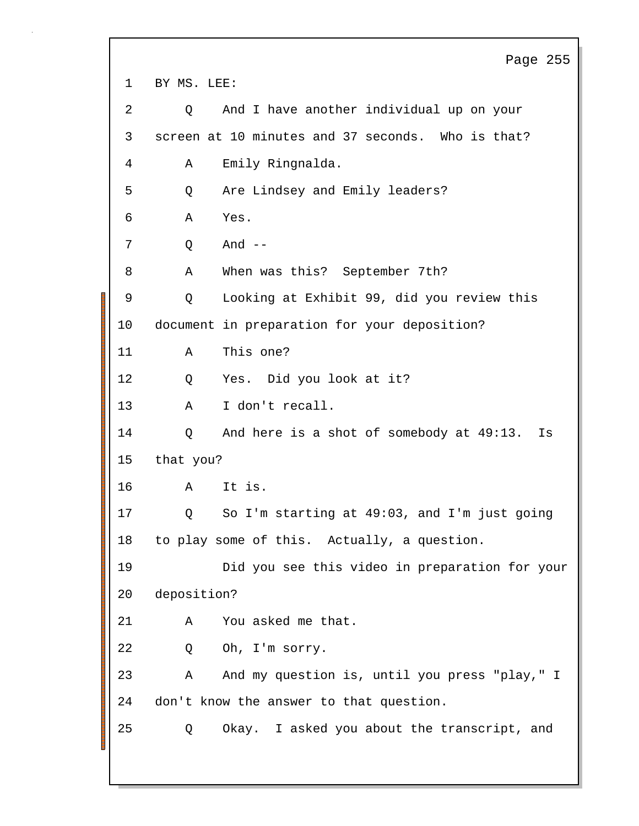Page 255 1 BY MS. LEE: 2 Q And I have another individual up on your 3 screen at 10 minutes and 37 seconds. Who is that? 4 A Emily Ringnalda. 5 Q Are Lindsey and Emily leaders? 6 A Yes. 7 Q And -- 8 A When was this? September 7th? 9 Q Looking at Exhibit 99, did you review this 10 document in preparation for your deposition? 11 A This one? 12 Q Yes. Did you look at it? 13 A I don't recall. 14 Q And here is a shot of somebody at 49:13. Is 15 that you? 16 A It is. 17 Q So I'm starting at 49:03, and I'm just going 18 to play some of this. Actually, a question. 19 Did you see this video in preparation for your 20 deposition? 21 A You asked me that. 22 Q Oh, I'm sorry. 23 A And my question is, until you press "play," I 24 don't know the answer to that question. 25 Q Okay. I asked you about the transcript, and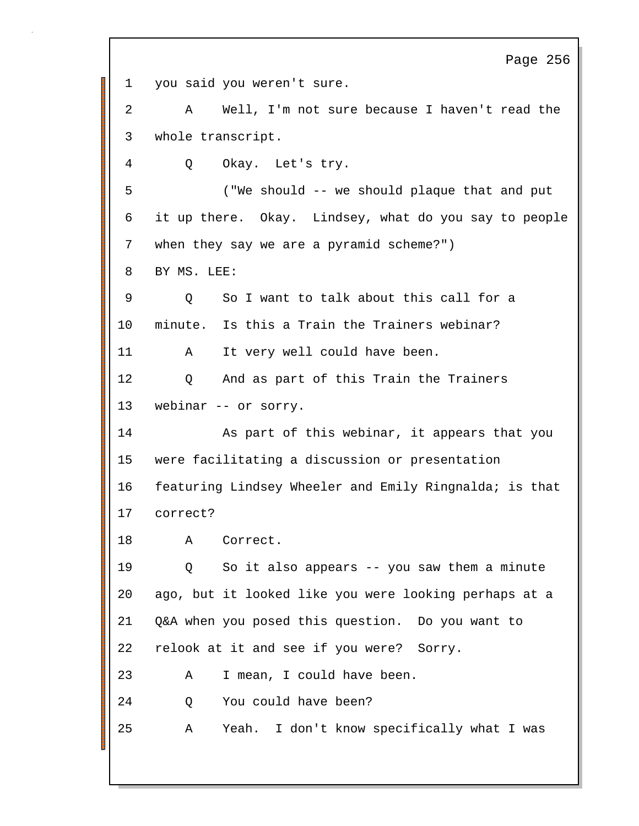Page 256 1 you said you weren't sure. 2 A Well, I'm not sure because I haven't read the 3 whole transcript. 4 Q Okay. Let's try. 5 ("We should -- we should plaque that and put 6 it up there. Okay. Lindsey, what do you say to people 7 when they say we are a pyramid scheme?") 8 BY MS. LEE: 9 Q So I want to talk about this call for a 10 minute. Is this a Train the Trainers webinar? 11 A It very well could have been. 12 Q And as part of this Train the Trainers 13 webinar -- or sorry. 14 As part of this webinar, it appears that you 15 were facilitating a discussion or presentation 16 featuring Lindsey Wheeler and Emily Ringnalda; is that 17 correct? 18 A Correct. 19 Q So it also appears -- you saw them a minute 20 ago, but it looked like you were looking perhaps at a 21 Q&A when you posed this question. Do you want to 22 relook at it and see if you were? Sorry. 23 A I mean, I could have been. 24 O You could have been? 25 A Yeah. I don't know specifically what I was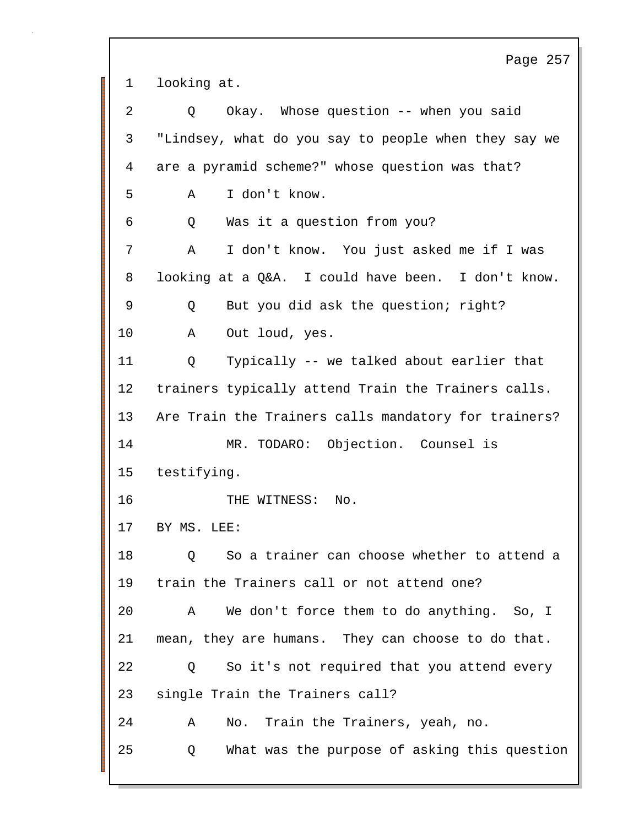Page 257 1 looking at. 2 Q Okay. Whose question -- when you said 3 "Lindsey, what do you say to people when they say we 4 are a pyramid scheme?" whose question was that? 5 A I don't know. 6 Q Was it a question from you? 7 A I don't know. You just asked me if I was 8 looking at a Q&A. I could have been. I don't know. 9 Q But you did ask the question; right? 10 A Out loud, yes. 11 Q Typically -- we talked about earlier that 12 trainers typically attend Train the Trainers calls. 13 Are Train the Trainers calls mandatory for trainers? 14 MR. TODARO: Objection. Counsel is 15 testifying. 16 THE WITNESS: No. 17 BY MS. LEE: 18 Q So a trainer can choose whether to attend a 19 train the Trainers call or not attend one? 20 A We don't force them to do anything. So, I 21 mean, they are humans. They can choose to do that. 22 Q So it's not required that you attend every 23 single Train the Trainers call? 24 A No. Train the Trainers, yeah, no. 25 Q What was the purpose of asking this question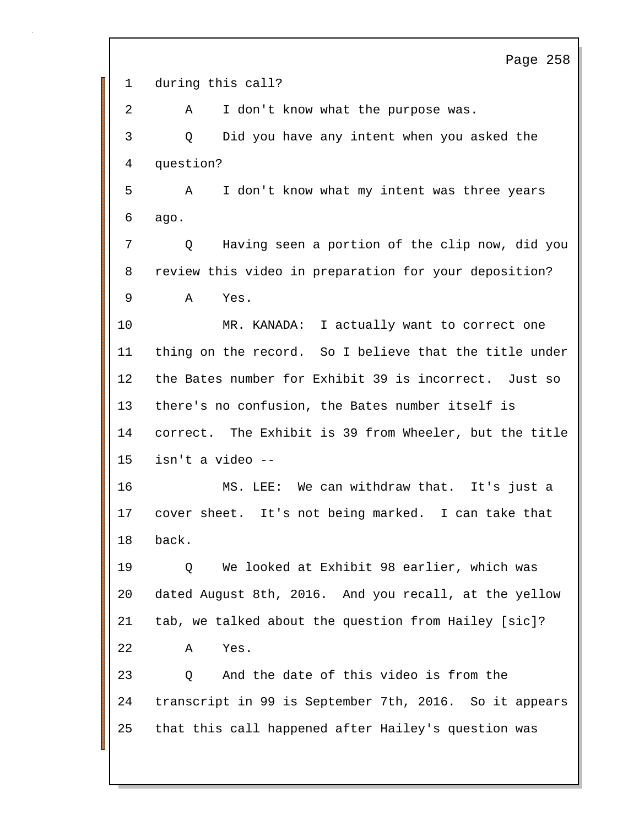Page 258 1 during this call? 2 A I don't know what the purpose was. 3 Q Did you have any intent when you asked the 4 question? 5 A I don't know what my intent was three years 6 ago. 7 Q Having seen a portion of the clip now, did you 8 review this video in preparation for your deposition? 9 A Yes. 10 MR. KANADA: I actually want to correct one 11 thing on the record. So I believe that the title under 12 the Bates number for Exhibit 39 is incorrect. Just so 13 there's no confusion, the Bates number itself is 14 correct. The Exhibit is 39 from Wheeler, but the title 15 isn't a video -- 16 MS. LEE: We can withdraw that. It's just a 17 cover sheet. It's not being marked. I can take that 18 back. 19 Q We looked at Exhibit 98 earlier, which was 20 dated August 8th, 2016. And you recall, at the yellow 21 tab, we talked about the question from Hailey [sic]? 22 A Yes. 23 Q And the date of this video is from the 24 transcript in 99 is September 7th, 2016. So it appears 25 that this call happened after Hailey's question was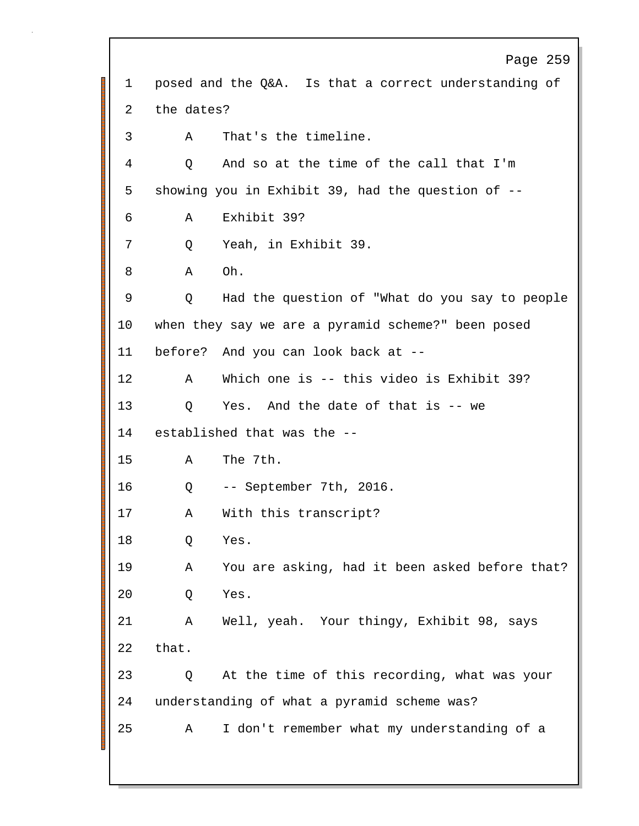Page 259 1 posed and the Q&A. Is that a correct understanding of 2 the dates? 3 A That's the timeline. 4 Q And so at the time of the call that I'm 5 showing you in Exhibit 39, had the question of -- 6 A Exhibit 39? 7 Q Yeah, in Exhibit 39. 8 A Oh. 9 Q Had the question of "What do you say to people 10 when they say we are a pyramid scheme?" been posed 11 before? And you can look back at -- 12 A Which one is -- this video is Exhibit 39? 13 Q Yes. And the date of that is -- we 14 established that was the -- 15 A The 7th. 16 Q -- September 7th, 2016. 17 A With this transcript? 18 Q Yes. 19 A You are asking, had it been asked before that? 20 Q Yes. 21 A Well, yeah. Your thingy, Exhibit 98, says 22 that. 23 Q At the time of this recording, what was your 24 understanding of what a pyramid scheme was? 25 A I don't remember what my understanding of a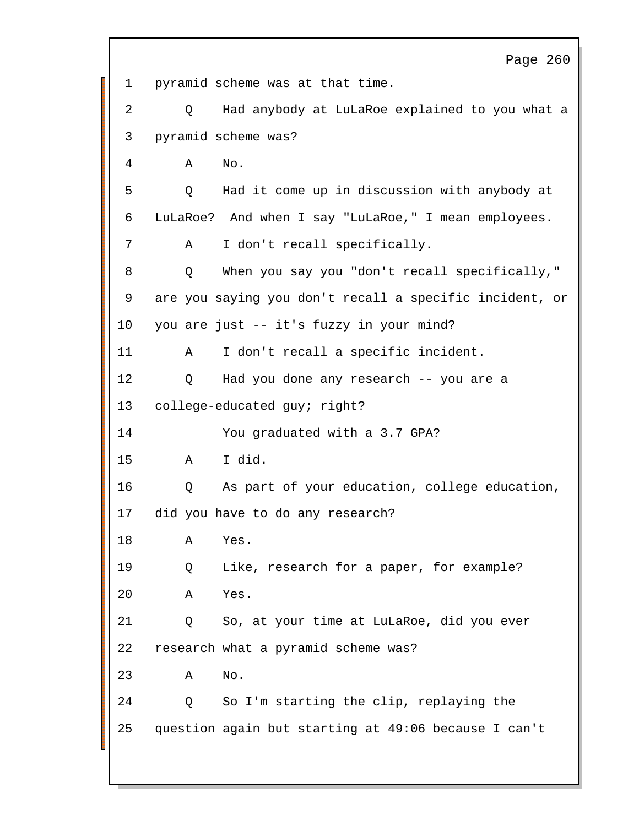Page 260 1 pyramid scheme was at that time. 2 Q Had anybody at LuLaRoe explained to you what a 3 pyramid scheme was? 4 A No. 5 Q Had it come up in discussion with anybody at 6 LuLaRoe? And when I say "LuLaRoe," I mean employees. 7 A I don't recall specifically. 8 Q When you say you "don't recall specifically," 9 are you saying you don't recall a specific incident, or 10 you are just -- it's fuzzy in your mind? 11 A I don't recall a specific incident. 12 Q Had you done any research -- you are a 13 college-educated guy; right? 14 You graduated with a 3.7 GPA? 15 A I did. 16 Q As part of your education, college education, 17 did you have to do any research? 18 A Yes. 19 Q Like, research for a paper, for example? 20 A Yes. 21 Q So, at your time at LuLaRoe, did you ever 22 research what a pyramid scheme was? 23 A No. 24 Q So I'm starting the clip, replaying the 25 question again but starting at 49:06 because I can't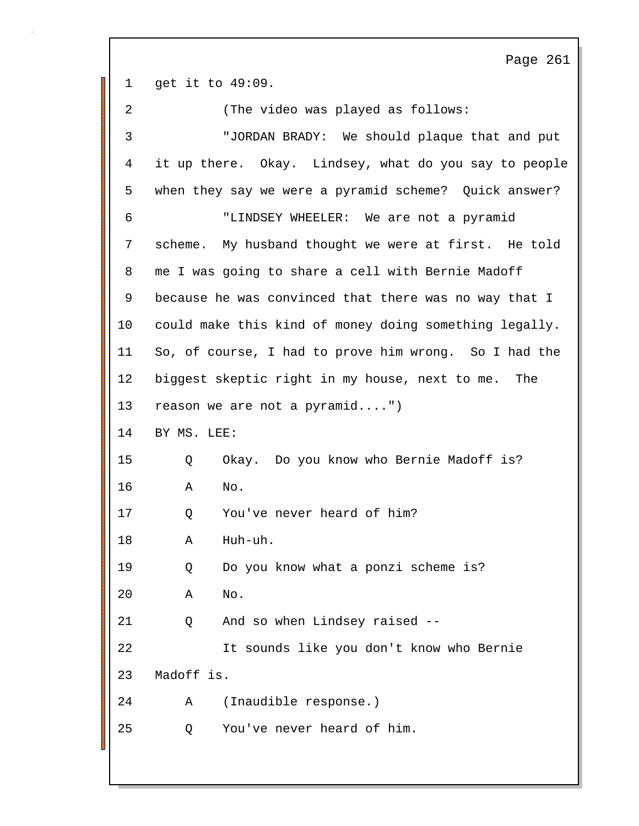Page 261 1 get it to 49:09. 2 (The video was played as follows: 3 "JORDAN BRADY: We should plaque that and put 4 it up there. Okay. Lindsey, what do you say to people 5 when they say we were a pyramid scheme? Quick answer? 6 "LINDSEY WHEELER: We are not a pyramid 7 scheme. My husband thought we were at first. He told 8 me I was going to share a cell with Bernie Madoff 9 because he was convinced that there was no way that I 10 could make this kind of money doing something legally. 11 So, of course, I had to prove him wrong. So I had the 12 biggest skeptic right in my house, next to me. The 13 reason we are not a pyramid....") 14 BY MS. LEE: 15 Q Okay. Do you know who Bernie Madoff is? 16 A No. 17 Q You've never heard of him? 18 A Huh-uh. 19 Q Do you know what a ponzi scheme is? 20 A No. 21 Q And so when Lindsey raised -- 22 It sounds like you don't know who Bernie 23 Madoff is. 24 A (Inaudible response.) 25 Q You've never heard of him.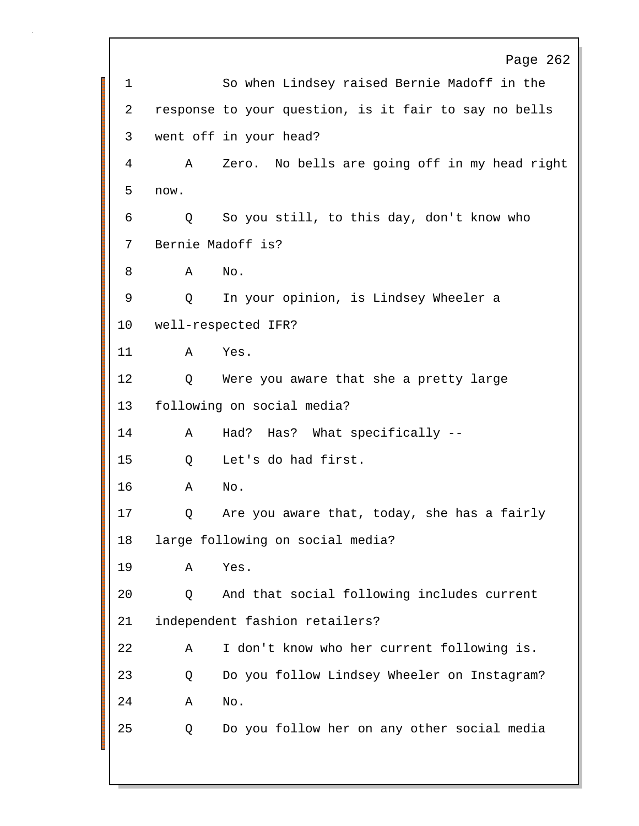Page 262 1 So when Lindsey raised Bernie Madoff in the 2 response to your question, is it fair to say no bells 3 went off in your head? 4 A Zero. No bells are going off in my head right 5 now. 6 Q So you still, to this day, don't know who 7 Bernie Madoff is? 8 A No. 9 Q In your opinion, is Lindsey Wheeler a 10 well-respected IFR? 11 A Yes. 12 Q Were you aware that she a pretty large 13 following on social media? 14 A Had? Has? What specifically -- 15 Q Let's do had first. 16 A No. 17 Q Are you aware that, today, she has a fairly 18 large following on social media? 19 A Yes. 20 Q And that social following includes current 21 independent fashion retailers? 22 A I don't know who her current following is. 23 Q Do you follow Lindsey Wheeler on Instagram? 24 A No. 25 Q Do you follow her on any other social media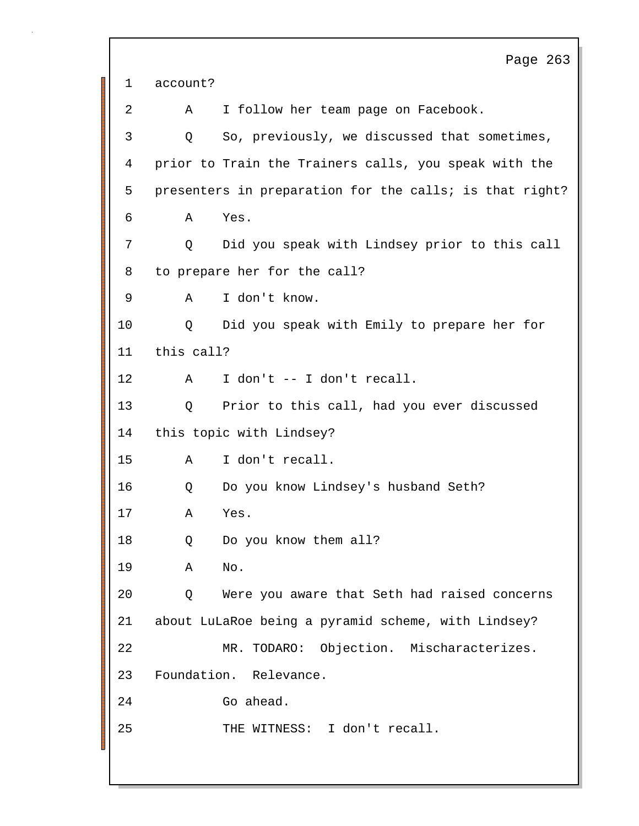Page 263 1 account? 2 A I follow her team page on Facebook. 3 Q So, previously, we discussed that sometimes, 4 prior to Train the Trainers calls, you speak with the 5 presenters in preparation for the calls; is that right? 6 A Yes. 7 Q Did you speak with Lindsey prior to this call 8 to prepare her for the call? 9 A I don't know. 10 Q Did you speak with Emily to prepare her for 11 this call? 12 A I don't -- I don't recall. 13 Q Prior to this call, had you ever discussed 14 this topic with Lindsey? 15 A I don't recall. 16 Q Do you know Lindsey's husband Seth? 17 A Yes. 18 Q Do you know them all? 19 A No. 20 Q Were you aware that Seth had raised concerns 21 about LuLaRoe being a pyramid scheme, with Lindsey? 22 MR. TODARO: Objection. Mischaracterizes. 23 Foundation. Relevance. 24 Go ahead. 25 THE WITNESS: I don't recall.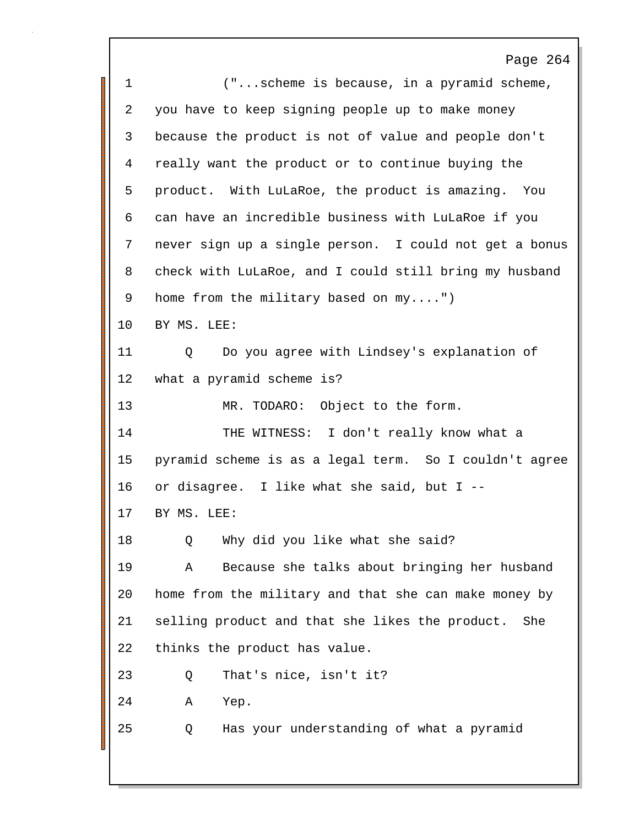Page 264 1 ("...scheme is because, in a pyramid scheme, 2 you have to keep signing people up to make money 3 because the product is not of value and people don't 4 really want the product or to continue buying the 5 product. With LuLaRoe, the product is amazing. You 6 can have an incredible business with LuLaRoe if you 7 never sign up a single person. I could not get a bonus 8 check with LuLaRoe, and I could still bring my husband 9 home from the military based on my....") 10 BY MS. LEE: 11 Q Do you agree with Lindsey's explanation of 12 what a pyramid scheme is? 13 MR. TODARO: Object to the form. 14 THE WITNESS: I don't really know what a 15 pyramid scheme is as a legal term. So I couldn't agree 16 or disagree. I like what she said, but I -- 17 BY MS. LEE: 18 O Why did you like what she said? 19 A Because she talks about bringing her husband 20 home from the military and that she can make money by 21 selling product and that she likes the product. She 22 thinks the product has value. 23 Q That's nice, isn't it? 24 A Yep. 25 Q Has your understanding of what a pyramid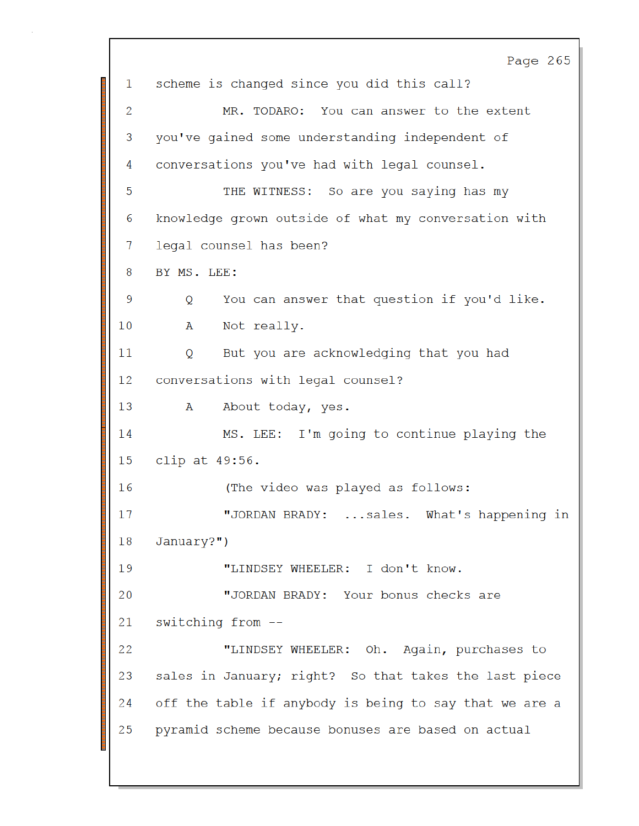Page 265 scheme is changed since you did this call? 1 MR. TODARO: You can answer to the extent 2 you've gained some understanding independent of 3 conversations you've had with legal counsel. 4 5 THE WITNESS: So are you saying has my knowledge grown outside of what my conversation with 6 legal counsel has been? 7 BY MS. LEE: 8 You can answer that question if you'd like. 9 Q. 10 A Not really. But you are acknowledging that you had 11  $\circ$ conversations with legal counsel?  $12 \overline{ }$ About today, yes. 13 A MS. LEE: I'm going to continue playing the 14 clip at  $49:56$ . 15 (The video was played as follows: 16 "JORDAN BRADY: ... sales. What's happening in 17 January?") 18 19 "LINDSEY WHEELER: I don't know. 20 "JORDAN BRADY: Your bonus checks are switching from --21 22 "LINDSEY WHEELER: Oh. Again, purchases to 23 sales in January; right? So that takes the last piece off the table if anybody is being to say that we are a 24 25 pyramid scheme because bonuses are based on actual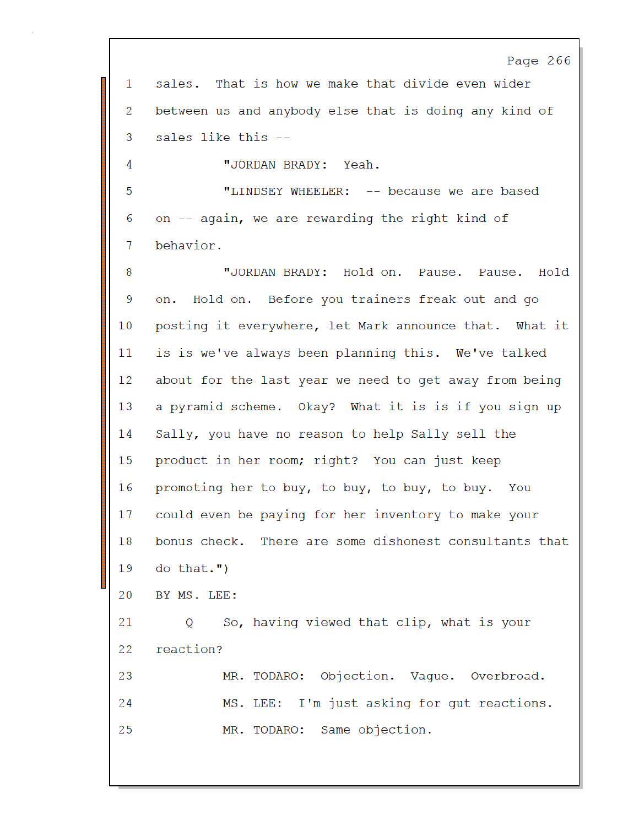Page 266 That is how we make that divide even wider sales. 1 between us and anybody else that is doing any kind of 2 3 sales like this --4 "JORDAN BRADY: Yeah. "LINDSEY WHEELER: -- because we are based 5 on -- again, we are rewarding the right kind of 6 behavior. 7 "JORDAN BRADY: Hold on. Pause. 8 Pause. Hold 9 Hold on. Before you trainers freak out and go on. 10 posting it everywhere, let Mark announce that. What it is is we've always been planning this. We've talked 11 12 about for the last year we need to get away from being 13 a pyramid scheme. Okay? What it is is if you sign up Sally, you have no reason to help Sally sell the 14 product in her room; right? You can just keep 15 promoting her to buy, to buy, to buy, to buy. 16 You could even be paying for her inventory to make your 17 bonus check. There are some dishonest consultants that 18 19 do that.") 20 BY MS. LEE: 21 So, having viewed that clip, what is your O reaction? 22 Objection. Vaque. Overbroad. 23 MR. TODARO: I'm just asking for gut reactions. 24 MS. LEE: 25 MR. TODARO: Same objection.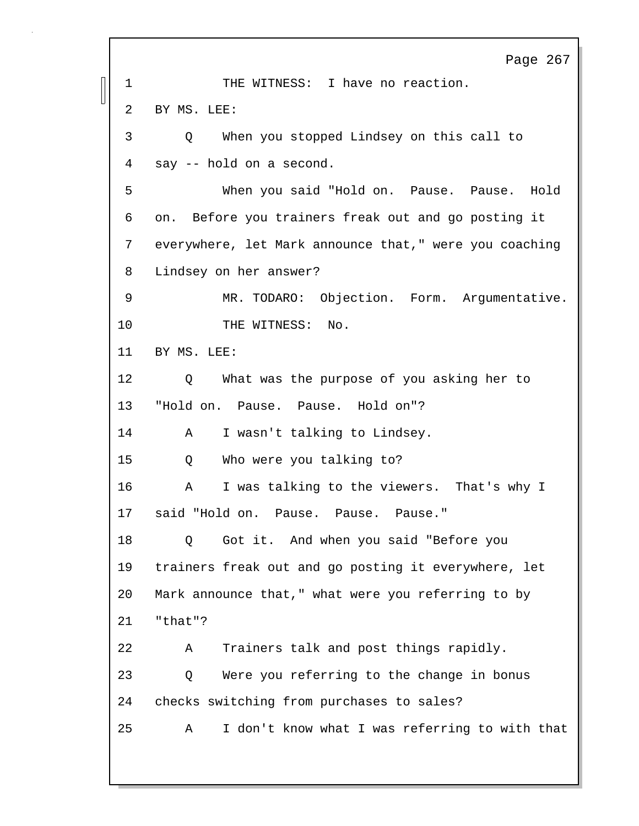Page 267 1 THE WITNESS: I have no reaction. 2 BY MS. LEE: 3 Q When you stopped Lindsey on this call to 4 say -- hold on a second. 5 When you said "Hold on. Pause. Pause. Hold 6 on. Before you trainers freak out and go posting it 7 everywhere, let Mark announce that," were you coaching 8 Lindsey on her answer? 9 MR. TODARO: Objection. Form. Argumentative. 10 THE WITNESS: No. 11 BY MS. LEE: 12 Q What was the purpose of you asking her to 13 "Hold on. Pause. Pause. Hold on"? 14 A I wasn't talking to Lindsey. 15 Q Who were you talking to? 16 A I was talking to the viewers. That's why I 17 said "Hold on. Pause. Pause. Pause." 18 Q Got it. And when you said "Before you 19 trainers freak out and go posting it everywhere, let 20 Mark announce that," what were you referring to by 21 "that"? 22 A Trainers talk and post things rapidly. 23 Q Were you referring to the change in bonus 24 checks switching from purchases to sales? 25 A I don't know what I was referring to with that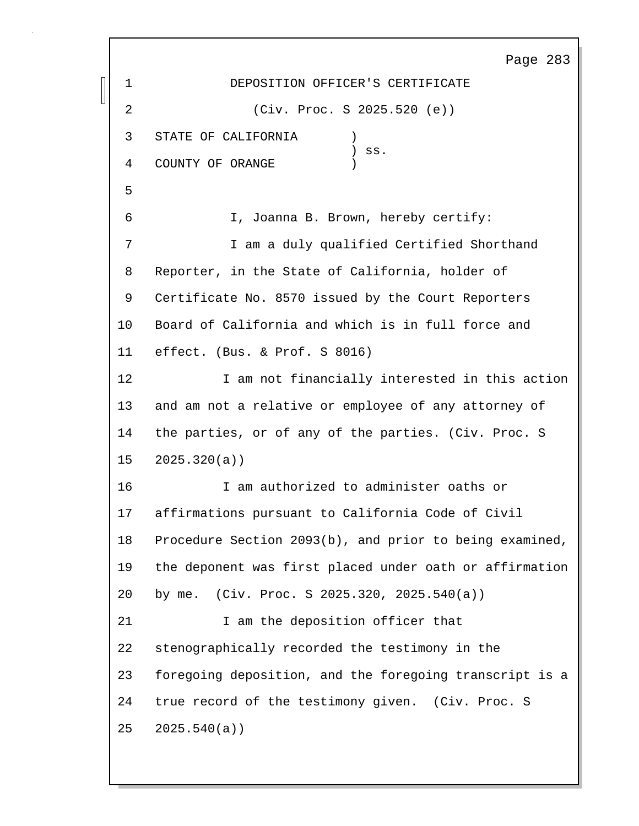Page 283 1 DEPOSITION OFFICER'S CERTIFICATE 2 (Civ. Proc. S 2025.520 (e)) 3 STATE OF CALIFORNIA )  $)$  ss. 4 COUNTY OF ORANGE 5 6 I, Joanna B. Brown, hereby certify: 7 I am a duly qualified Certified Shorthand 8 Reporter, in the State of California, holder of 9 Certificate No. 8570 issued by the Court Reporters 10 Board of California and which is in full force and 11 effect. (Bus. & Prof. S 8016) 12 **I** am not financially interested in this action 13 and am not a relative or employee of any attorney of 14 the parties, or of any of the parties. (Civ. Proc. S 15 2025.320(a)) 16 I am authorized to administer oaths or 17 affirmations pursuant to California Code of Civil 18 Procedure Section 2093(b), and prior to being examined, 19 the deponent was first placed under oath or affirmation 20 by me. (Civ. Proc. S 2025.320, 2025.540(a)) 21 1 am the deposition officer that 22 stenographically recorded the testimony in the 23 foregoing deposition, and the foregoing transcript is a 24 true record of the testimony given. (Civ. Proc. S 25 2025.540(a))